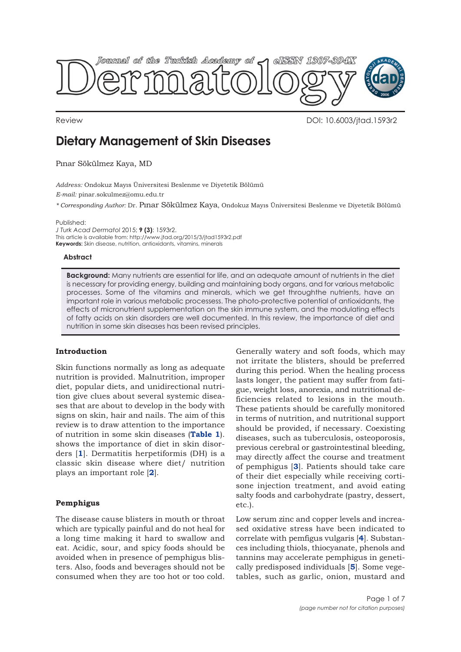

Review DOI: 10.6003/jtad.1593r2

# **Dietary Management of Skin Diseases**

Pınar Sökülmez Kaya, MD

*Address:* Ondokuz Mayıs Üniversitesi Beslenme ve Diyetetik Bölümü

*E-mail:* pinar.sokulmez@omu.edu.tr

*\* Corresponding Author:* Dr. Pınar Sökülmez Kaya, Ondokuz Mayıs Üniversitesi Beslenme ve Diyetetik Bölümü

Published:

*J Turk Acad Dermatol* 2015; **9 (3)**: 1593r2. This article is available from: http://www.jtad.org/2015/3/jtad1593r2.pdf **Keywords:** Skin disease, nutrition, antioxidants, vitamins, minerals

## **Abstract**

**Background:** Many nutrients are essential for life, and an adequate amount of nutrients in the diet is necessary for providing energy, building and maintaining body organs, and for various metabolic processes. Some of the vitamins and minerals, which we get throughthe nutrients, have an important role in various metabolic processess. The photo-protective potential of antioxidants, the effects of micronutrient supplementation on the skin immune system, and the modulating effects of fatty acids on skin disorders are well documented. In this review, the importance of diet and nutrition in some skin diseases has been revised principles.

# **Introduction**

Skin functions normally as long as adequate nutrition is provided. Malnutrition, improper diet, popular diets, and unidirectional nutrition give clues about several systemic diseases that are about to develop in the body with signs on skin, hair and nails. The aim of this review is to draw attention to the importance of nutrition in some skin diseases (**[Table 1](#page-2-0)**). shows the importance of diet in skin disorders [**[1](#page-4-0)**]. Dermatitis herpetiformis (DH) is a classic skin disease where diet/ nutrition plays an important role [**[2](#page-4-0)**].

# **Pemphigus**

The disease cause blisters in mouth or throat which are typically painful and do not heal for a long time making it hard to swallow and eat. Acidic, sour, and spicy foods should be avoided when in presence of pemphigus blisters. Also, foods and beverages should not be consumed when they are too hot or too cold.

Generally watery and soft foods, which may not irritate the blisters, should be preferred during this period. When the healing process lasts longer, the patient may suffer from fatigue, weight loss, anorexia, and nutritional deficiencies related to lesions in the mouth. These patients should be carefully monitored in terms of nutrition, and nutritional support should be provided, if necessary. Coexisting diseases, such as tuberculosis, osteoporosis, previous cerebral or gastrointestinal bleeding, may directly affect the course and treatment of pemphigus [**[3](#page-4-0)**]. Patients should take care of their diet especially while receiving cortisone injection treatment, and avoid eating salty foods and carbohydrate (pastry, dessert, etc.).

Low serum zinc and copper levels and increased oxidative stress have been indicated to correlate with pemfigus vulgaris [**[4](#page-5-0)**]. Substances including thiols, thiocyanate, phenols and tannins may accelerate pemphigus in genetically predisposed individuals [**[5](#page-5-0)**]. Some vegetables, such as garlic, onion, mustard and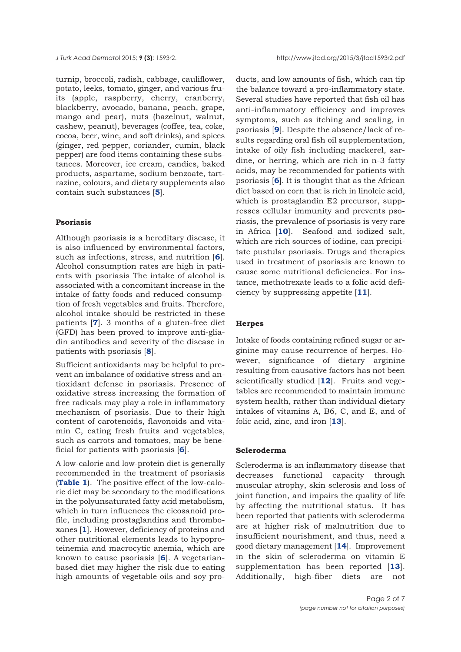turnip, broccoli, radish, cabbage, cauliflower, potato, leeks, tomato, ginger, and various fruits (apple, raspberry, cherry, cranberry, blackberry, avocado, banana, peach, grape, mango and pear), nuts (hazelnut, walnut, cashew, peanut), beverages (coffee, tea, coke, cocoa, beer, wine, and soft drinks), and spices (ginger, red pepper, coriander, cumin, black pepper) are food items containing these substances. Moreover, ice cream, candies, baked products, aspartame, sodium benzoate, tartrazine, colours, and dietary supplements also contain such substances [**[5](#page-5-0)**].

## **Psoriasis**

Although psoriasis is a hereditary disease, it is also influenced by environmental factors, such as infections, stress, and nutrition [**[6](#page-5-0)**]. Alcohol consumption rates are high in patients with psoriasis The intake of alcohol is associated with a concomitant increase in the intake of fatty foods and reduced consumption of fresh vegetables and fruits. Therefore, alcohol intake should be restricted in these patients [**[7](#page-5-0)**]. 3 months of a gluten-free diet (GFD) has been proved to improve anti-gliadin antibodies and severity of the disease in patients with psoriasis [**[8](#page-5-0)**].

Sufficient antioxidants may be helpful to prevent an imbalance of oxidative stress and antioxidant defense in psoriasis. Presence of oxidative stress increasing the formation of free radicals may play a role in inflammatory mechanism of psoriasis. Due to their high content of carotenoids, flavonoids and vitamin C, eating fresh fruits and vegetables, such as carrots and tomatoes, may be beneficial for patients with psoriasis [**[6](#page-5-0)**].

A low-calorie and low-protein diet is generally recommended in the treatment of psoriasis (**[Table 1](#page-2-0)**). The positive effect of the low-calorie diet may be secondary to the modifications in the polyunsaturated fatty acid metabolism, which in turn influences the eicosanoid profile, including prostaglandins and thromboxanes [**[1](#page-4-0)**]. However, deficiency of proteins and other nutritional elements leads to hypoproteinemia and macrocytic anemia, which are known to cause psoriasis [**[6](#page-5-0)**]. A vegetarianbased diet may higher the risk due to eating high amounts of vegetable oils and soy pro-

ducts, and low amounts of fish, which can tip the balance toward a pro-inflammatory state. Several studies have reported that fish oil has anti-inflammatory efficiency and improves symptoms, such as itching and scaling, in psoriasis [**[9](#page-5-0)**]. Despite the absence/lack of results regarding oral fish oil supplementation, intake of oily fish including mackerel, sardine, or herring, which are rich in n-3 fatty acids, may be recommended for patients with psoriasis [**[6](#page-5-0)**]. It is thought that as the African diet based on corn that is rich in linoleic acid, which is prostaglandin E2 precursor, suppresses cellular immunity and prevents psoriasis, the prevalence of psoriasis is very rare in Africa [**[10](#page-5-0)**]. Seafood and iodized salt, which are rich sources of iodine, can precipitate pustular psoriasis. Drugs and therapies used in treatment of psoriasis are known to cause some nutritional deficiencies. For instance, methotrexate leads to a folic acid deficiency by suppressing appetite [**[11](#page-5-0)**].

## **Herpes**

Intake of foods containing refined sugar or arginine may cause recurrence of herpes. However, significance of dietary arginine resulting from causative factors has not been scientifically studied [**[12](#page-5-0)**]. Fruits and vegetables are recommended to maintain immune system health, rather than individual dietary intakes of vitamins A, B6, C, and E, and of folic acid, zinc, and iron [**[13](#page-5-0)**].

#### **Scleroderma**

Scleroderma is an inflammatory disease that decreases functional capacity through muscular atrophy, skin sclerosis and loss of joint function, and impairs the quality of life by affecting the nutritional status. It has been reported that patients with scleroderma are at higher risk of malnutrition due to insufficient nourishment, and thus, need a good dietary management [**[14](#page-5-0)**]. Improvement in the skin of scleroderma on vitamin E supplementation has been reported [**[13](#page-5-0)**]. Additionally, high-fiber diets are not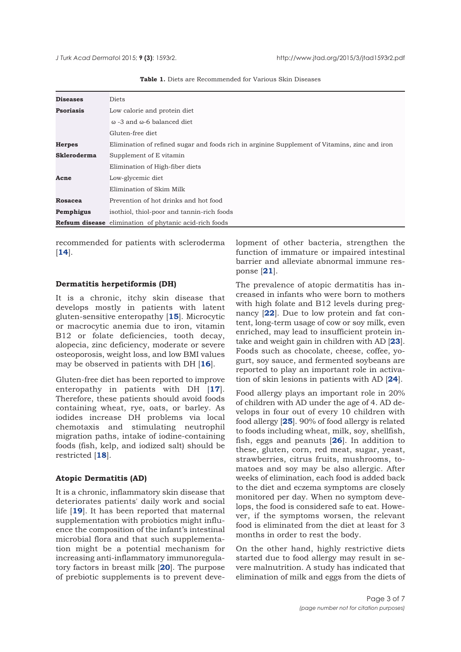<span id="page-2-0"></span>

| <b>Diseases</b>    | Diets                                                                                         |
|--------------------|-----------------------------------------------------------------------------------------------|
| <b>Psoriasis</b>   | Low calorie and protein diet                                                                  |
|                    |                                                                                               |
|                    | ω -3 and ω-6 balanced diet                                                                    |
|                    | Gluten-free diet                                                                              |
| <b>Herpes</b>      | Elimination of refined sugar and foods rich in arginine Supplement of Vitamins, zinc and iron |
| <b>Skleroderma</b> | Supplement of E vitamin                                                                       |
|                    | Elimination of High-fiber diets                                                               |
| Acne               | Low-glycemic diet                                                                             |
|                    | Elimination of Skim Milk                                                                      |
| <b>Rosacea</b>     | Prevention of hot drinks and hot food                                                         |
| Pemphigus          | isothiol, thiol-poor and tannin-rich foods                                                    |
|                    | <b>Refsum disease</b> elimination of phytanic acid-rich foods                                 |

**Table 1.** Diets are Recommended for Various Skin Diseases

recommended for patients with scleroderma [**[14](#page-5-0)**].

# **Dermatitis herpetiformis (DH)**

It is a chronic, itchy skin disease that develops mostly in patients with latent gluten-sensitive enteropathy [**[15](#page-5-0)**]. Microcytic or macrocytic anemia due to iron, vitamin B12 or folate deficiencies, tooth decay, alopecia, zinc deficiency, moderate or severe osteoporosis, weight loss, and low BMI values may be observed in patients with DH [**[16](#page-5-0)**].

Gluten-free diet has been reported to improve enteropathy in patients with DH [**[17](#page-5-0)**]. Therefore, these patients should avoid foods containing wheat, rye, oats, or barley. As iodides increase DH problems via local chemotaxis and stimulating neutrophil migration paths, intake of iodine-containing foods (fish, kelp, and iodized salt) should be restricted [**[18](#page-5-0)**].

# **Atopic Dermatitis (AD)**

It is a chronic, inflammatory skin disease that deteriorates patients' daily work and social life [**[19](#page-5-0)**]. It has been reported that maternal supplementation with probiotics might influence the composition of the infant's intestinal microbial flora and that such supplementation might be a potential mechanism for increasing anti-inflammatory immunoregulatory factors in breast milk [**[20](#page-5-0)**]. The purpose of prebiotic supplements is to prevent development of other bacteria, strengthen the function of immature or impaired intestinal barrier and alleviate abnormal immune response [**[21](#page-5-0)**].

The prevalence of atopic dermatitis has increased in infants who were born to mothers with high folate and B12 levels during pregnancy [**[22](#page-5-0)**]. Due to low protein and fat content, long-term usage of cow or soy milk, even enriched, may lead to insufficient protein intake and weight gain in children with AD [**[23](#page-5-0)**]. Foods such as chocolate, cheese, coffee, yogurt, soy sauce, and fermented soybeans are reported to play an important role in activation of skin lesions in patients with AD [**[24](#page-5-0)**].

Food allergy plays an important role in 20% of children with AD under the age of 4. AD develops in four out of every 10 children with food allergy [**[25](#page-5-0)**]. 90% of food allergy is related to foods including wheat, milk, soy, shellfish, fish, eggs and peanuts [**[26](#page-5-0)**]. In addition to these, gluten, corn, red meat, sugar, yeast, strawberries, citrus fruits, mushrooms, tomatoes and soy may be also allergic. After weeks of elimination, each food is added back to the diet and eczema symptoms are closely monitored per day. When no symptom develops, the food is considered safe to eat. However, if the symptoms worsen, the relevant food is eliminated from the diet at least for 3 months in order to rest the body.

On the other hand, highly restrictive diets started due to food allergy may result in severe malnutrition. A study has indicated that elimination of milk and eggs from the diets of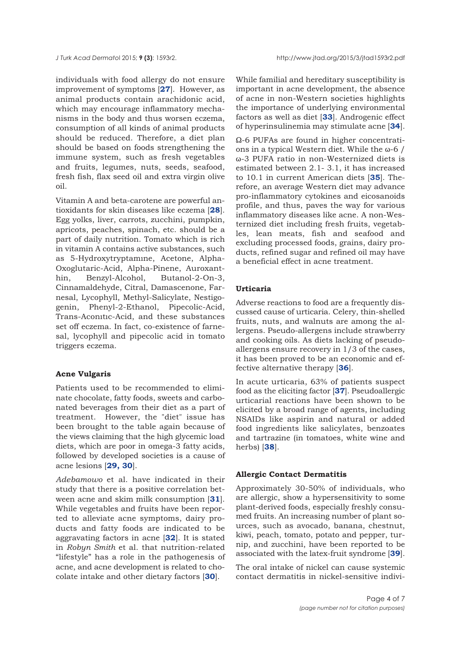individuals with food allergy do not ensure improvement of symptoms [**[27](#page-5-0)**]. However, as animal products contain arachidonic acid, which may encourage inflammatory mechanisms in the body and thus worsen eczema, consumption of all kinds of animal products should be reduced. Therefore, a diet plan should be based on foods strengthening the immune system, such as fresh vegetables and fruits, legumes, nuts, seeds, seafood, fresh fish, flax seed oil and extra virgin olive oil.

Vitamin A and beta-carotene are powerful antioxidants for skin diseases like eczema [**[28](#page-5-0)**]. Egg yolks, liver, carrots, zucchini, pumpkin, apricots, peaches, spinach, etc. should be a part of daily nutrition. Tomato which is rich in vitamin A contains active substances, such as 5-Hydroxytryptamıne, Acetone, Alpha-Oxoglutaric-Acid, Alpha-Pinene, Auroxanthin, Benzyl-Alcohol, Butanol-2-On-3, Cinnamaldehyde, Citral, Damascenone, Farnesal, Lycophyll, Methyl-Salicylate, Nestigogenin, Phenyl-2-Ethanol, Pipecolic-Acid, Trans-Aconıtıc-Acid, and these substances set off eczema. In fact, co-existence of farnesal, lycophyll and pipecolic acid in tomato triggers eczema.

# **Acne Vulgaris**

Patients used to be recommended to eliminate chocolate, fatty foods, sweets and carbonated beverages from their diet as a part of treatment. However, the "diet" issue has been brought to the table again because of the views claiming that the high glycemic load diets, which are poor in omega-3 fatty acids, followed by developed societies is a cause of acne lesions [**[29, 30](#page-5-0)**].

*Adebamowo* et al. have indicated in their study that there is a positive correlation between acne and skim milk consumption [**[31](#page-5-0)**]. While vegetables and fruits have been reported to alleviate acne symptoms, dairy products and fatty foods are indicated to be aggravating factors in acne [**[32](#page-5-0)**]. It is stated in *Robyn Smith* et al. that nutrition-related "lifestyle" has a role in the pathogenesis of acne, and acne development is related to chocolate intake and other dietary factors [**[30](#page-5-0)**].

While familial and hereditary susceptibility is important in acne development, the absence of acne in non-Western societies highlights the importance of underlying environmental factors as well as diet [**[33](#page-5-0)**]. Androgenic effect of hyperinsulinemia may stimulate acne [**[34](#page-5-0)**].

Ω-6 PUFAs are found in higher concentrations in a typical Western diet. While the ω-6 / ω-3 PUFA ratio in non-Westernized diets is estimated between 2.1- 3.1, it has increased to 10.1 in current American diets [**[35](#page-5-0)**]. Therefore, an average Western diet may advance pro-inflammatory cytokines and eicosanoids profile, and thus, paves the way for various inflammatory diseases like acne. A non-Westernized diet including fresh fruits, vegetables, lean meats, fish and seafood and excluding processed foods, grains, dairy products, refined sugar and refined oil may have a beneficial effect in acne treatment.

### **Urticaria**

Adverse reactions to food are a frequently discussed cause of urticaria. Celery, thin-shelled fruits, nuts, and walnuts are among the allergens. Pseudo-allergens include strawberry and cooking oils. As diets lacking of pseudoallergens ensure recovery in 1/3 of the cases, it has been proved to be an economic and effective alternative therapy [**[36](#page-5-0)**].

In acute urticaria, 63% of patients suspect food as the eliciting factor [**[37](#page-6-0)**]. Pseudoallergic urticarial reactions have been shown to be elicited by a broad range of agents, including NSAIDs like aspirin and natural or added food ingredients like salicylates, benzoates and tartrazine (in tomatoes, white wine and herbs) [**[38](#page-6-0)**].

#### **Allergic Contact Dermatitis**

Approximately 30-50% of individuals, who are allergic, show a hypersensitivity to some plant-derived foods, especially freshly consumed fruits. An increasing number of plant sources, such as avocado, banana, chestnut, kiwi, peach, tomato, potato and pepper, turnip, and zucchini, have been reported to be associated with the latex-fruit syndrome [**[39](#page-6-0)**].

The oral intake of nickel can cause systemic contact dermatitis in nickel-sensitive indivi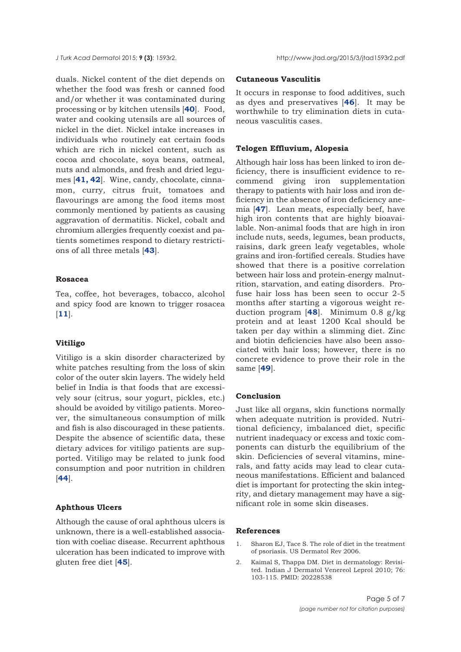<span id="page-4-0"></span>duals. Nickel content of the diet depends on whether the food was fresh or canned food and/or whether it was contaminated during processing or by kitchen utensils [**[40](#page-6-0)**]. Food, water and cooking utensils are all sources of nickel in the diet. Nickel intake increases in individuals who routinely eat certain foods which are rich in nickel content, such as cocoa and chocolate, soya beans, oatmeal, nuts and almonds, and fresh and dried legumes [**[41, 42](#page-6-0)**]. Wine, candy, chocolate, cinnamon, curry, citrus fruit, tomatoes and flavourings are among the food items most commonly mentioned by patients as causing aggravation of dermatitis. Nickel, cobalt and chromium allergies frequently coexist and patients sometimes respond to dietary restrictions of all three metals [**[43](#page-6-0)**].

#### **Rosacea**

Tea, coffee, hot beverages, tobacco, alcohol and spicy food are known to trigger rosacea [**[11](#page-5-0)**].

# **Vitiligo**

Vitiligo is a skin disorder characterized by white patches resulting from the loss of skin color of the outer skin layers. The widely held belief in India is that foods that are excessively sour (citrus, sour yogurt, pickles, etc.) should be avoided by vitiligo patients. Moreover, the simultaneous consumption of milk and fish is also discouraged in these patients. Despite the absence of scientific data, these dietary advices for vitiligo patients are supported. Vitiligo may be related to junk food consumption and poor nutrition in children [**[44](#page-6-0)**].

# **Aphthous Ulcers**

Although the cause of oral aphthous ulcers is unknown, there is a well-established association with coeliac disease. Recurrent aphthous ulceration has been indicated to improve with gluten free diet [**[45](#page-6-0)**].

#### **Cutaneous Vasculitis**

It occurs in response to food additives, such as dyes and preservatives [**[46](#page-6-0)**]. It may be worthwhile to try elimination diets in cutaneous vasculitis cases.

# **Telogen Effluvium, Alopesia**

Although hair loss has been linked to iron deficiency, there is insufficient evidence to recommend giving iron supplementation therapy to patients with hair loss and iron deficiency in the absence of iron deficiency anemia [**[47](#page-6-0)**]. Lean meats, especially beef, have high iron contents that are highly bioavailable. Non-animal foods that are high in iron include nuts, seeds, legumes, bean products, raisins, dark green leafy vegetables, whole grains and iron-fortified cereals. Studies have showed that there is a positive correlation between hair loss and protein-energy malnutrition, starvation, and eating disorders. Profuse hair loss has been seen to occur 2-5 months after starting a vigorous weight reduction program [**[48](#page-6-0)**]. Minimum 0.8 g/kg protein and at least 1200 Kcal should be taken per day within a slimming diet. Zinc and biotin deficiencies have also been associated with hair loss; however, there is no concrete evidence to prove their role in the same [**[49](#page-6-0)**].

# **Conclusion**

Just like all organs, skin functions normally when adequate nutrition is provided. Nutritional deficiency, imbalanced diet, specific nutrient inadequacy or excess and toxic components can disturb the equilibrium of the skin. Deficiencies of several vitamins, minerals, and fatty acids may lead to clear cutaneous manifestations. Efficient and balanced diet is important for protecting the skin integrity, and dietary management may have a significant role in some skin diseases.

## **References**

- 1. Sharon EJ, Tace S. The role of diet in the treatment of psoriasis. US Dermatol Rev 2006.
- 2. Kaimal S, Thappa DM. Diet in dermatology: Revisited. Indian J Dermatol Venereol Leprol 2010; 76: 103-115. PMID: 20228538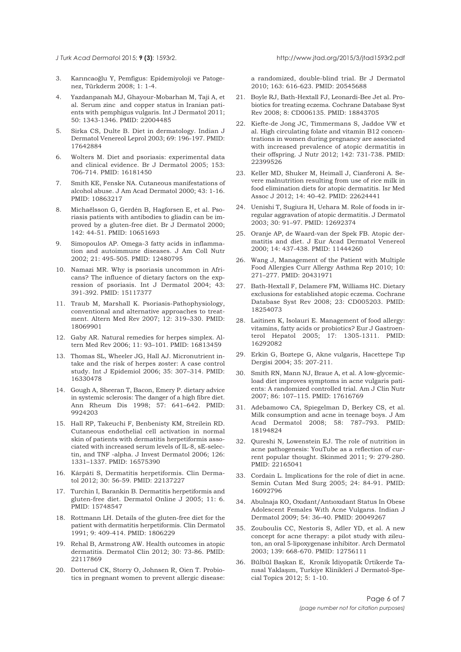<span id="page-5-0"></span>

- 3. Karıncaoğlu Y, Pemfigus: Epidemiyoloji ve Patogenez, Türkderm 2008; 1: 1-4.
- 4. Yazdanpanah MJ, Ghayour-Mobarhan M, Taji A, et al. Serum zinc and copper status in Iranian patients with pemphigus vulgaris. Int J Dermatol 2011; 50: 1343-1346. PMID: 22004485
- 5. Sirka CS, Dulte B. Diet in dermatology. Indian J Dermatol Venereol Leprol 2003; 69: 196-197. PMID: 17642884
- 6. Wolters M. Diet and psoriasis: experimental data and clinical evidence. Br J Dermatol 2005; 153: 706-714. PMID: 16181450
- 7. Smith KE, Fenske NA. Cutaneous manifestations of alcohol abuse. J Am Acad Dermatol 2000; 43: 1-16. PMID: 10863217
- 8. Michaëlsson G, Gerdén B, Hagforsen E, et al. Psoriasis patients with antibodies to gliadin can be improved by a gluten-free diet. Br J Dermatol 2000; 142: 44-51. PMID: 10651693
- 9. Simopoulos AP. Omega-3 fatty acids in inflammation and autoimmune diseases. J Am Coll Nutr 2002; 21: 495-505. PMID: 12480795
- 10. Namazi MR. Why is psoriasis uncommon in Africans? The influence of dietary factors on the expression of psoriasis. Int J Dermatol 2004; 43: 391-392. PMID: 15117377
- 11. Traub M, Marshall K. Psoriasis-Pathophysiology, conventional and alternative approaches to treatment. Altern Med Rev 2007; 12: 319–330. PMID: 18069901
- 12. Gaby AR. Natural remedies for herpes simplex. Altern Med Rev 2006; 11: 93–101. PMID: 16813459
- 13. Thomas SL, Wheeler JG, Hall AJ. Micronutrient intake and the risk of herpes zoster: A case control study. Int J Epidemiol 2006; 35: 307–314. PMID: 16330478
- 14. Gough A, Sheeran T, Bacon, Emery P. dietary advice in systemic sclerosis: The danger of a high fibre diet. Ann Rheum Dis 1998; 57: 641–642. PMID: 9924203
- 15. Hall RP, Takeuchi F, Benbenisty KM, Streilein RD. Cutaneous endothelial cell activation in normal skin of patients with dermatitis herpetiformis associated with increased serum levels of IL-8, sE-selectin, and TNF -alpha. J Invest Dermatol 2006; 126: 1331–1337. PMID: 16575390
- 16. Kárpáti S, Dermatitis herpetiformis. Clin Dermatol 2012; 30: 56-59. PMID: 22137227
- 17. Turchin I, Barankin B. Dermatitis herpetiformis and gluten-free diet. Dermatol Online J 2005; 11: 6. PMID: 15748547
- 18. Rottmann LH. Details of the gluten-free diet for the patient with dermatitis herpetiformis. Clin Dermatol 1991; 9: 409-414. PMID: 1806229
- 19. Rehal B, Armstrong AW. Health outcomes in atopic dermatitis. Dermatol Clin 2012; 30: 73-86. PMID: 22117869
- 20. Dotterud CK, Storry O, Johnsen R, Oien T. Probiotics in pregnant women to prevent allergic disease:

a randomized, double-blind trial. Br J Dermatol 2010; 163: 616-623. PMID: 20545688

- 21. Boyle RJ, Bath-Hextall FJ, Leonardi-Bee Jet al. Probiotics for treating eczema. Cochrane Database Syst Rev 2008; 8: CD006135. PMID: 18843705
- 22. Kiefte-de Jong JC, Timmermans S, Jaddoe VW et al. High circulating folate and vitamin B12 concentrations in women during pregnancy are associated with increased prevalence of atopic dermatitis in their offspring. J Nutr 2012; 142: 731-738. PMID: 22399526
- 23. Keller MD, Shuker M, Heimall J, Cianferoni A. Severe malnutrition resulting from use of rice milk in food elimination diets for atopic dermatitis. Isr Med Assoc J 2012; 14: 40-42. PMID: 22624441
- 24. Uenishi T, Sugiura H, Uehara M. Role of foods in irregular aggravation of atopic dermatitis. J Dermatol 2003; 30: 91–97. PMID: 12692374
- 25. Oranje AP, de Waard-van der Spek FB. Atopic dermatitis and diet. J Eur Acad Dermatol Venereol 2000; 14: 437-438. PMID: 11444260
- 26. Wang J, Management of the Patient with Multiple Food Allergies Curr Allergy Asthma Rep 2010; 10: 271–277. PMID: 20431971
- 27. Bath-Hextall F, Delamere FM, Williams HC. Dietary exclusions for established atopic eczema. Cochrane Database Syst Rev 2008; 23: CD005203. PMID: 18254073
- 28. Laitinen K, Isolauri E. Management of food allergy: vitamins, fatty acids or probiotics? Eur J Gastroenterol Hepatol 2005; 17: 1305-1311. PMID: 16292082
- 29. Erkin G, Boztepe G, Akne vulgaris, Hacettepe Tıp Dergisi 2004; 35: 207-211.
- 30. Smith RN, Mann NJ, Braue A, et al. A low-glycemicload diet improves symptoms in acne vulgaris patients: A randomized controlled trial. Am J Clin Nutr 2007; 86: 107–115. PMID: 17616769
- 31. Adebamowo CA, Spiegelman D, Berkey CS, et al. Milk consumption and acne in teenage boys. J Am Acad Dermatol 2008; 58: 787–793. PMID: 18194824
- 32. Qureshi N, Lowenstein EJ. The role of nutrition in acne pathogenesis: YouTube as a reflection of current popular thought. Skinmed 2011; 9: 279-280. PMID: 22165041
- 33. Cordain L. Implications for the role of diet in acne. Semin Cutan Med Surg 2005; 24: 84-91. PMID: 16092796
- 34. Abulnaja KO, Oxıdant/Antıoxıdant Status In Obese Adolescent Females Wıth Acne Vulgarıs. Indian J Dermatol 2009; 54: 36–40. PMID: 20049267
- 35. Zouboulis CC, Nestoris S, Adler YD, et al. A new concept for acne therapy: a pilot study with zileuton, an oral 5-lipoxygenase inhibitor. Arch Dermatol 2003; 139: 668-670. PMID: 12756111
- 36. Bülbül Başkan E, Kronik İdiyopatik Ürtikerde Tanısal Yaklaşım, Turkiye Klinikleri J Dermatol-Special Topics 2012; 5: 1-10.